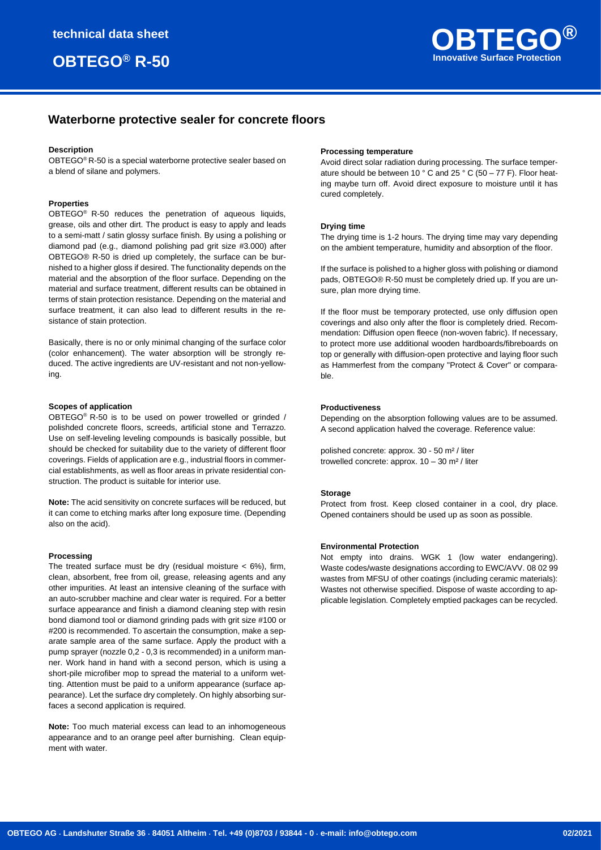

# **Waterborne protective sealer for concrete floors**

## **Description**

OBTEGO® R-50 is a special waterborne protective sealer based on a blend of silane and polymers.

### **Properties**

OBTEGO® R-50 reduces the penetration of aqueous liquids, grease, oils and other dirt. The product is easy to apply and leads to a semi-matt / satin glossy surface finish. By using a polishing or diamond pad (e.g., diamond polishing pad grit size #3.000) after OBTEGO® R-50 is dried up completely, the surface can be burnished to a higher gloss if desired. The functionality depends on the material and the absorption of the floor surface. Depending on the material and surface treatment, different results can be obtained in terms of stain protection resistance. Depending on the material and surface treatment, it can also lead to different results in the resistance of stain protection.

Basically, there is no or only minimal changing of the surface color (color enhancement). The water absorption will be strongly reduced. The active ingredients are UV-resistant and not non-yellowing.

#### **Scopes of application**

OBTEGO® R-50 is to be used on power trowelled or grinded / polishded concrete floors, screeds, artificial stone and Terrazzo. Use on self-leveling leveling compounds is basically possible, but should be checked for suitability due to the variety of different floor coverings. Fields of application are e.g., industrial floors in commercial establishments, as well as floor areas in private residential construction. The product is suitable for interior use.

**Note:** The acid sensitivity on concrete surfaces will be reduced, but it can come to etching marks after long exposure time. (Depending also on the acid).

#### **Processing**

The treated surface must be dry (residual moisture  $<$  6%), firm, clean, absorbent, free from oil, grease, releasing agents and any other impurities. At least an intensive cleaning of the surface with an auto-scrubber machine and clear water is required. For a better surface appearance and finish a diamond cleaning step with resin bond diamond tool or diamond grinding pads with grit size #100 or #200 is recommended. To ascertain the consumption, make a separate sample area of the same surface. Apply the product with a pump sprayer (nozzle 0,2 - 0,3 is recommended) in a uniform manner. Work hand in hand with a second person, which is using a short-pile microfiber mop to spread the material to a uniform wetting. Attention must be paid to a uniform appearance (surface appearance). Let the surface dry completely. On highly absorbing surfaces a second application is required.

**Note:** Too much material excess can lead to an inhomogeneous appearance and to an orange peel after burnishing. Clean equipment with water

#### **Processing temperature**

Avoid direct solar radiation during processing. The surface temperature should be between 10 ° C and 25 ° C (50 – 77 F). Floor heating maybe turn off. Avoid direct exposure to moisture until it has cured completely.

#### **Drying time**

The drying time is 1-2 hours. The drying time may vary depending on the ambient temperature, humidity and absorption of the floor.

If the surface is polished to a higher gloss with polishing or diamond pads, OBTEGO® R-50 must be completely dried up. If you are unsure, plan more drying time.

If the floor must be temporary protected, use only diffusion open coverings and also only after the floor is completely dried. Recommendation: Diffusion open fleece (non-woven fabric). If necessary, to protect more use additional wooden hardboards/fibreboards on top or generally with diffusion-open protective and laying floor such as Hammerfest from the company "Protect & Cover" or comparable.

#### **Productiveness**

Depending on the absorption following values are to be assumed. A second application halved the coverage. Reference value:

polished concrete: approx. 30 - 50 m² / liter trowelled concrete: approx. 10 – 30 m² / liter

#### **Storage**

Protect from frost. Keep closed container in a cool, dry place. Opened containers should be used up as soon as possible.

#### **Environmental Protection**

Not empty into drains. WGK 1 (low water endangering). Waste codes/waste designations according to EWC/AVV. 08 02 99 wastes from MFSU of other coatings (including ceramic materials): Wastes not otherwise specified. Dispose of waste according to applicable legislation. Completely emptied packages can be recycled.